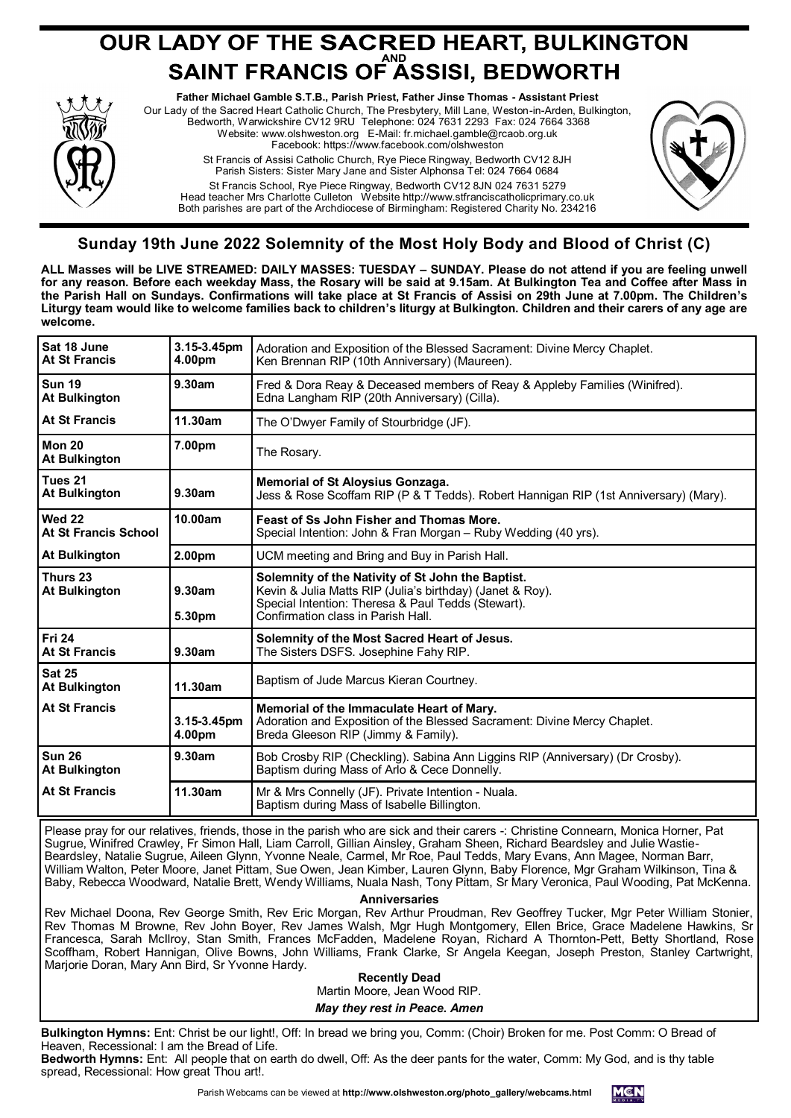# **OUR LADY OF THE SACRED HEART, BULKINGTON<br>SAINT FRANCIS OF ASSISI, BEDWORTH**



**Father Michael Gamble S.T.B., Parish Priest, Father Jinse Thomas - Assistant Priest** Our Lady of the Sacred Heart Catholic Church, The Presbytery, Mill Lane, Weston-in-Arden, Bulkington, Bedworth, Warwickshire CV12 9RU Telephone: 024 7631 2293 Fax: 024 7664 3368 Website: www.olshweston.org E-Mail: fr.michael.gamble@rcaob.org.uk Facebook: https://www.facebook.com/olshweston St Francis of Assisi Catholic Church, Rye Piece Ringway, Bedworth CV12 8JH Parish Sisters: Sister Mary Jane and Sister Alphonsa Tel: 024 7664 0684 St Francis School, Rye Piece Ringway, Bedworth CV12 8JN 024 7631 5279 Head teacher Mrs Charlotte Culleton Website http://www.stfranciscatholicprimary.co.uk

Both parishes are part of the Archdiocese of Birmingham: Registered Charity No. 234216



## **Sunday 19th June 2022 Solemnity of the Most Holy Body and Blood of Christ (C)**

**ALL Masses will be LIVE STREAMED: DAILY MASSES: TUESDAY – SUNDAY. Please do not attend if you are feeling unwell for any reason. Before each weekday Mass, the Rosary will be said at 9.15am. At Bulkington Tea and Coffee after Mass in the Parish Hall on Sundays. Confirmations will take place at St Francis of Assisi on 29th June at 7.00pm. The Children's Liturgy team would like to welcome families back to children's liturgy at Bulkington. Children and their carers of any age are welcome.**

| Sat 18 June<br><b>At St Francis</b>   | 3.15-3.45pm<br>4.00pm | Adoration and Exposition of the Blessed Sacrament: Divine Mercy Chaplet.<br>Ken Brennan RIP (10th Anniversary) (Maureen).                                                                                  |
|---------------------------------------|-----------------------|------------------------------------------------------------------------------------------------------------------------------------------------------------------------------------------------------------|
| l Sun 19<br><b>At Bulkington</b>      | 9.30am                | Fred & Dora Reay & Deceased members of Reay & Appleby Families (Winifred).<br>Edna Langham RIP (20th Anniversary) (Cilla).                                                                                 |
| <b>At St Francis</b>                  | 11.30am               | The O'Dwyer Family of Stourbridge (JF).                                                                                                                                                                    |
| <b>Mon 20</b><br><b>At Bulkington</b> | 7.00pm                | The Rosary.                                                                                                                                                                                                |
| Tues 21<br><b>At Bulkington</b>       | 9.30am                | <b>Memorial of St Aloysius Gonzaga.</b><br>Jess & Rose Scoffam RIP (P & T Tedds). Robert Hannigan RIP (1st Anniversary) (Mary).                                                                            |
| Wed 22<br>At St Francis School        | 10.00am               | Feast of Ss John Fisher and Thomas More.<br>Special Intention: John & Fran Morgan - Ruby Wedding (40 yrs).                                                                                                 |
| <b>At Bulkington</b>                  | 2.00pm                | UCM meeting and Bring and Buy in Parish Hall.                                                                                                                                                              |
| Thurs 23<br><b>At Bulkington</b>      | 9.30am<br>5.30pm      | Solemnity of the Nativity of St John the Baptist.<br>Kevin & Julia Matts RIP (Julia's birthday) (Janet & Roy).<br>Special Intention: Theresa & Paul Tedds (Stewart).<br>Confirmation class in Parish Hall. |
| <b>Fri 24</b><br><b>At St Francis</b> | 9.30am                | Solemnity of the Most Sacred Heart of Jesus.<br>The Sisters DSFS. Josephine Fahy RIP.                                                                                                                      |
| <b>Sat 25</b><br><b>At Bulkington</b> | 11.30am               | Baptism of Jude Marcus Kieran Courtney.                                                                                                                                                                    |
| <b>At St Francis</b>                  | 3.15-3.45pm<br>4.00pm | Memorial of the Immaculate Heart of Mary.<br>Adoration and Exposition of the Blessed Sacrament: Divine Mercy Chaplet.<br>Breda Gleeson RIP (Jimmy & Family).                                               |
| <b>Sun 26</b><br><b>At Bulkington</b> | 9.30am                | Bob Crosby RIP (Checkling). Sabina Ann Liggins RIP (Anniversary) (Dr Crosby).<br>Baptism during Mass of Arlo & Cece Donnelly.                                                                              |
| <b>At St Francis</b>                  | 11.30am               | Mr & Mrs Connelly (JF). Private Intention - Nuala.<br>Baptism during Mass of Isabelle Billington.                                                                                                          |

Please pray for our relatives, friends, those in the parish who are sick and their carers -: Christine Connearn, Monica Horner, Pat Sugrue, Winifred Crawley, Fr Simon Hall, Liam Carroll, Gillian Ainsley, Graham Sheen, Richard Beardsley and Julie Wastie-Beardsley, Natalie Sugrue, Aileen Glynn, Yvonne Neale, Carmel, Mr Roe, Paul Tedds, Mary Evans, Ann Magee, Norman Barr, William Walton, Peter Moore, Janet Pittam, Sue Owen, Jean Kimber, Lauren Glynn, Baby Florence, Mgr Graham Wilkinson, Tina & Baby, Rebecca Woodward, Natalie Brett, Wendy Williams, Nuala Nash, Tony Pittam, Sr Mary Veronica, Paul Wooding, Pat McKenna.

**Anniversaries** 

Rev Michael Doona, Rev George Smith, Rev Eric Morgan, Rev Arthur Proudman, Rev Geoffrey Tucker, Mgr Peter William Stonier, Rev Thomas M Browne, Rev John Boyer, Rev James Walsh, Mgr Hugh Montgomery, Ellen Brice, Grace Madelene Hawkins, Sr Francesca, Sarah McIlroy, Stan Smith, Frances McFadden, Madelene Royan, Richard A Thornton-Pett, Betty Shortland, Rose Scoffham, Robert Hannigan, Olive Bowns, John Williams, Frank Clarke, Sr Angela Keegan, Joseph Preston, Stanley Cartwright, Marjorie Doran, Mary Ann Bird, Sr Yvonne Hardy.

**Recently Dead** Martin Moore, Jean Wood RIP. *May they rest in Peace. Amen*

**Bulkington Hymns:** Ent: Christ be our light!, Off: In bread we bring you, Comm: (Choir) Broken for me. Post Comm: O Bread of Heaven, Recessional: I am the Bread of Life.

**Bedworth Hymns:** Ent: All people that on earth do dwell, Off: As the deer pants for the water, Comm: My God, and is thy table spread, Recessional: How great Thou art!.